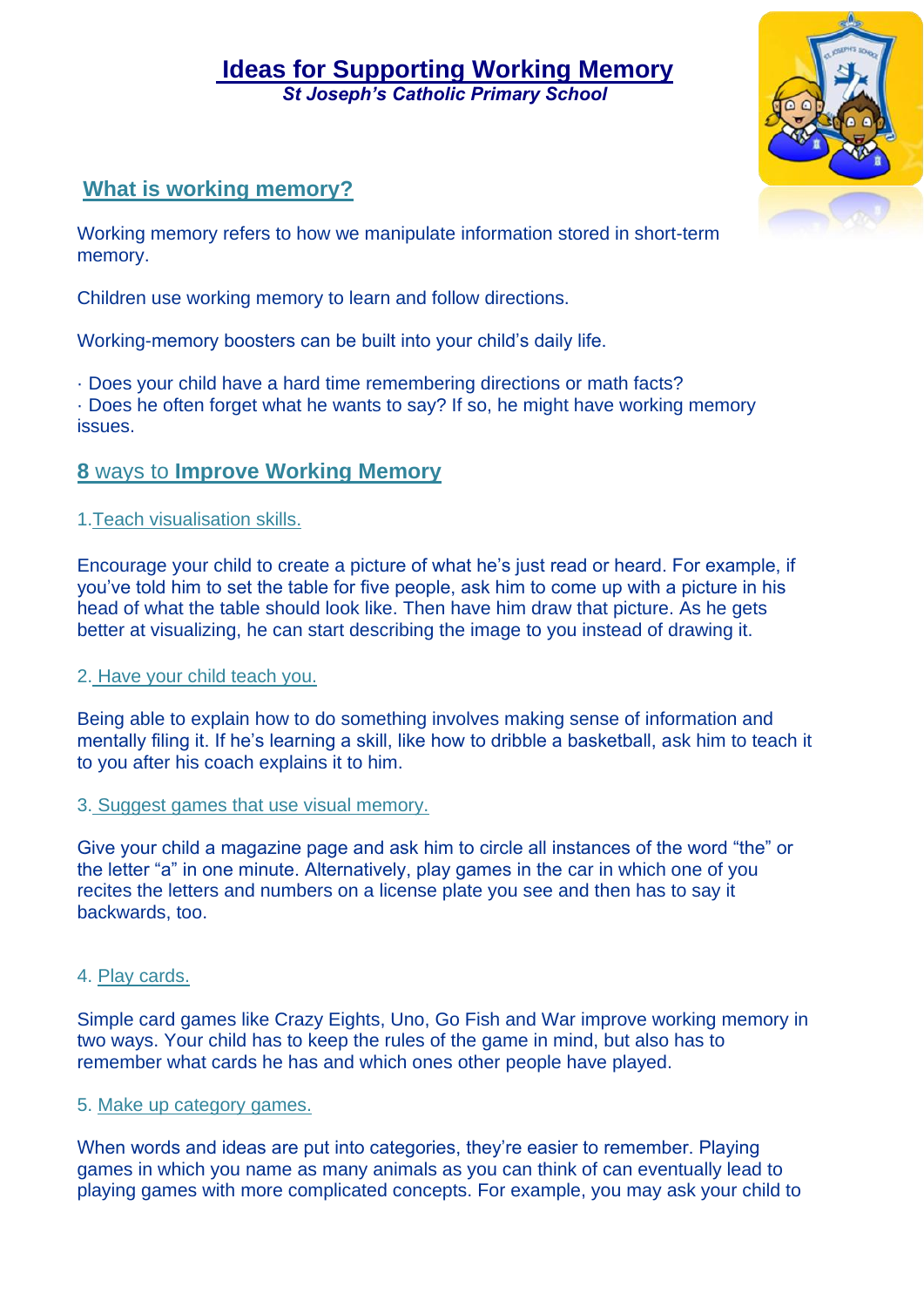# **Ideas for Supporting Working Memory**  *St Joseph's Catholic Primary School*

# **What is working memory?**

Working memory refers to how we manipulate information stored in short-term memory.

Children use working memory to learn and follow directions.

Working-memory boosters can be built into your child's daily life.

· Does your child have a hard time remembering directions or math facts? · Does he often forget what he wants to say? If so, he might have working memory issues.

# **8** ways to **Improve Working Memory**

## 1.Teach visualisation skills.

Encourage your child to create a picture of what he's just read or heard. For example, if you've told him to set the table for five people, ask him to come up with a picture in his head of what the table should look like. Then have him draw that picture. As he gets better at visualizing, he can start describing the image to you instead of drawing it.

## 2. Have your child teach you.

Being able to explain how to do something involves making sense of information and mentally filing it. If he's learning a skill, like how to dribble a basketball, ask him to teach it to you after his coach explains it to him.

## 3. Suggest games that use visual memory.

Give your child a magazine page and ask him to circle all instances of the word "the" or the letter "a" in one minute. Alternatively, play games in the car in which one of you recites the letters and numbers on a license plate you see and then has to say it backwards, too.

## 4. Play cards.

Simple card games like Crazy Eights, Uno, Go Fish and War improve working memory in two ways. Your child has to keep the rules of the game in mind, but also has to remember what cards he has and which ones other people have played.

## 5. Make up category games.

When words and ideas are put into categories, they're easier to remember. Playing games in which you name as many animals as you can think of can eventually lead to playing games with more complicated concepts. For example, you may ask your child to

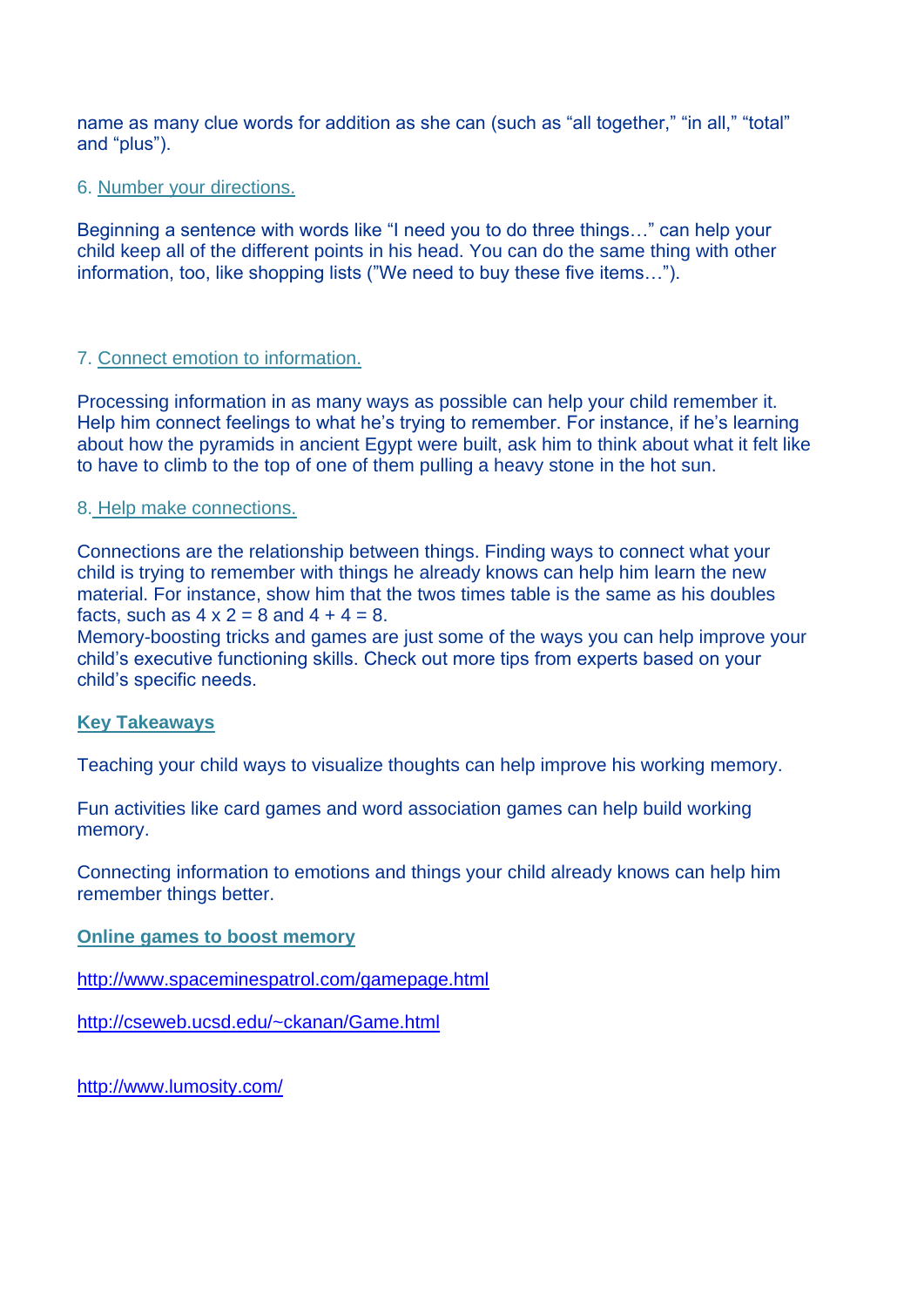name as many clue words for addition as she can (such as "all together," "in all," "total" and "plus").

#### 6. Number your directions.

Beginning a sentence with words like "I need you to do three things…" can help your child keep all of the different points in his head. You can do the same thing with other information, too, like shopping lists ("We need to buy these five items…").

## 7. Connect emotion to information.

Processing information in as many ways as possible can help your child remember it. Help him connect feelings to what he's trying to remember. For instance, if he's learning about how the pyramids in ancient Egypt were built, ask him to think about what it felt like to have to climb to the top of one of them pulling a heavy stone in the hot sun.

#### 8. Help make connections.

Connections are the relationship between things. Finding ways to connect what your child is trying to remember with things he already knows can help him learn the new material. For instance, show him that the twos times table is the same as his doubles facts, such as  $4 \times 2 = 8$  and  $4 + 4 = 8$ .

Memory-boosting tricks and games are just some of the ways you can help improve your child's executive functioning skills. Check out more tips from experts based on your child's specific needs.

#### **Key Takeaways**

Teaching your child ways to visualize thoughts can help improve his working memory.

Fun activities like card games and word association games can help build working memory.

Connecting information to emotions and things your child already knows can help him remember things better.

#### **Online games to boost memory**

<http://www.spaceminespatrol.com/gamepage.html>

<http://cseweb.ucsd.edu/~ckanan/Game.html>

<http://www.lumosity.com/>